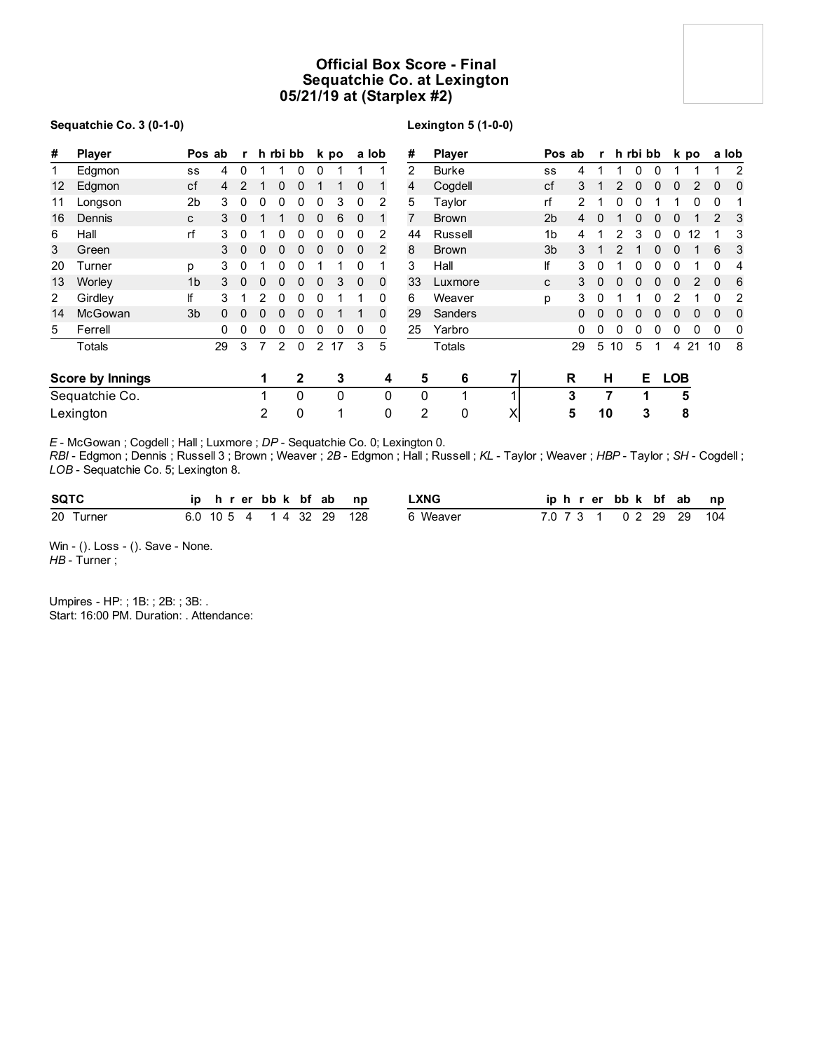# **Official Box Score - Final Sequatchie Co. at Lexington 05/21/19 at (Starplex #2)**

## **Sequatchie Co. 3 (0-1-0)**

## **Lexington 5 (1-0-0)**

| #  | <b>Player</b>           |                | Pos ab   | $\mathbf{r}$  |              | h rbi bb      |              |                | k po         | a lob        |              | #              | <b>Player</b> |   |                | Pos ab |          | r h rbi bb |          |   |            | k po |          | a lob          |
|----|-------------------------|----------------|----------|---------------|--------------|---------------|--------------|----------------|--------------|--------------|--------------|----------------|---------------|---|----------------|--------|----------|------------|----------|---|------------|------|----------|----------------|
|    | Edgmon                  | SS             | 4        | $\Omega$      |              |               | 0            | 0              |              |              |              | $\overline{2}$ | <b>Burke</b>  |   | SS             | 4      |          |            | $\Omega$ | U |            |      |          | $\overline{2}$ |
| 12 | Edgmon                  | cf             | 4        | $\mathcal{P}$ |              | 0             | 0            |                |              | $\Omega$     |              | 4              | Cogdell       |   | cf             | 3      |          |            |          | 0 | 0          |      | $\Omega$ | $\Omega$       |
| 11 | Longson                 | 2 <sub>b</sub> | 3        |               | 0            | 0             | 0            | 0              | 3            | 0            | 2            | 5              | Taylor        |   | rf             | 2      |          |            |          |   |            |      | $\Omega$ |                |
| 16 | Dennis                  | C              | 3        | 0             |              |               | 0            | 0              | 6            | 0            |              | 7              | <b>Brown</b>  |   | 2 <sub>b</sub> | 4      | $\Omega$ |            |          |   | 0          |      | 2        | 3              |
| 6  | Hall                    | rf             | 3        | 0             |              | 0             | 0            | 0              | 0            | 0            | 2            | 44             | Russell       |   | 1b             | 4      |          |            | 3        | 0 | 0          | 12   |          | 3              |
| 3  | Green                   |                | 3        | $\mathbf{0}$  | $\mathbf{0}$ | 0             | 0            | $\mathbf 0$    | $\mathbf{0}$ | $\mathbf{0}$ | 2            | 8              | <b>Brown</b>  |   | 3 <sub>b</sub> | 3      |          |            |          | 0 | 0          |      | 6        | 3              |
| 20 | Turner                  | p              | 3        | 0             |              | 0             | 0            |                |              | 0            |              | 3              | Hall          |   | lf             | 3      | $\Omega$ |            |          | U | $\Omega$   |      | 0        | 4              |
| 13 | Worley                  | 1 <sub>b</sub> | 3        | $\Omega$      | 0            | 0             | 0            | $\Omega$       | 3            | $\Omega$     | $\mathbf{0}$ | 33             | Luxmore       |   | C              | 3      | $\Omega$ |            |          | U | 0          |      | $\Omega$ | 6              |
| 2  | Girdley                 | lf             | 3        |               | 2            | 0             | 0            | 0              |              |              | 0            | 6              | Weaver        |   | p              | 3      | 0        |            |          |   | 2          |      | $\Omega$ | 2              |
| 14 | McGowan                 | 3 <sub>b</sub> | $\Omega$ | 0             | 0            | 0             | 0            | 0              |              |              | 0            | 29             | Sanders       |   |                | 0      | $\Omega$ |            | O        | 0 | 0          | 0    | $\Omega$ | 0              |
| 5  | Ferrell                 |                | 0        | 0             | 0            | 0             | 0            | 0              | 0            | 0            | 0            | 25             | Yarbro        |   |                | 0      | 0        |            |          |   | 0          | 0    | 0        | 0              |
|    | <b>Totals</b>           |                | 29       | 3             | 7            | $\mathcal{P}$ | $\Omega$     | $\overline{2}$ | 17           | 3            | 5            |                | Totals        |   |                | 29     | 5        | 10         | 5        | 1 | 4          | 21   | 10       | 8              |
|    | <b>Score by Innings</b> |                |          |               |              |               | $\mathbf{2}$ |                | 3            |              | 4            | 5              | 6             | 7 |                | R      | н        |            | E.       |   | <b>LOB</b> |      |          |                |
|    | Sequatchie Co.          |                |          |               |              |               | $\Omega$     |                | 0            |              | $\mathbf 0$  | $\Omega$       |               |   |                | 3      | 7        |            | 1        |   |            | 5    |          |                |
|    | Lexington               |                |          |               | 2            |               | 0            |                |              |              | 0            | 2              | 0             | X |                | 5      | 10       |            | 3        |   |            | 8    |          |                |

*E* - McGowan ; Cogdell ; Hall ; Luxmore ; *DP* - Sequatchie Co. 0; Lexington 0.

*RBI* - Edgmon ; Dennis ; Russell 3 ; Brown ; Weaver ; *2B* - Edgmon ; Hall ; Russell ; *KL* - Taylor ; Weaver ; *HBP* - Taylor ; *SH* - Cogdell ; *LOB* - Sequatchie Co. 5; Lexington 8.

| <b>SQTC</b> |  | ip h r er bb k bf ab np  |  | .XNG     |  | iphrerbbk bf ab np      |  |  |
|-------------|--|--------------------------|--|----------|--|-------------------------|--|--|
| 20 Turner   |  | 6.0 10 5 4 1 4 32 29 128 |  | 6 Weaver |  | 7.0 7 3 1 0 2 29 29 104 |  |  |

Win - (). Loss - (). Save - None. *HB* - Turner ;

Umpires - HP: ; 1B: ; 2B: ; 3B: . Start: 16:00 PM. Duration: . Attendance: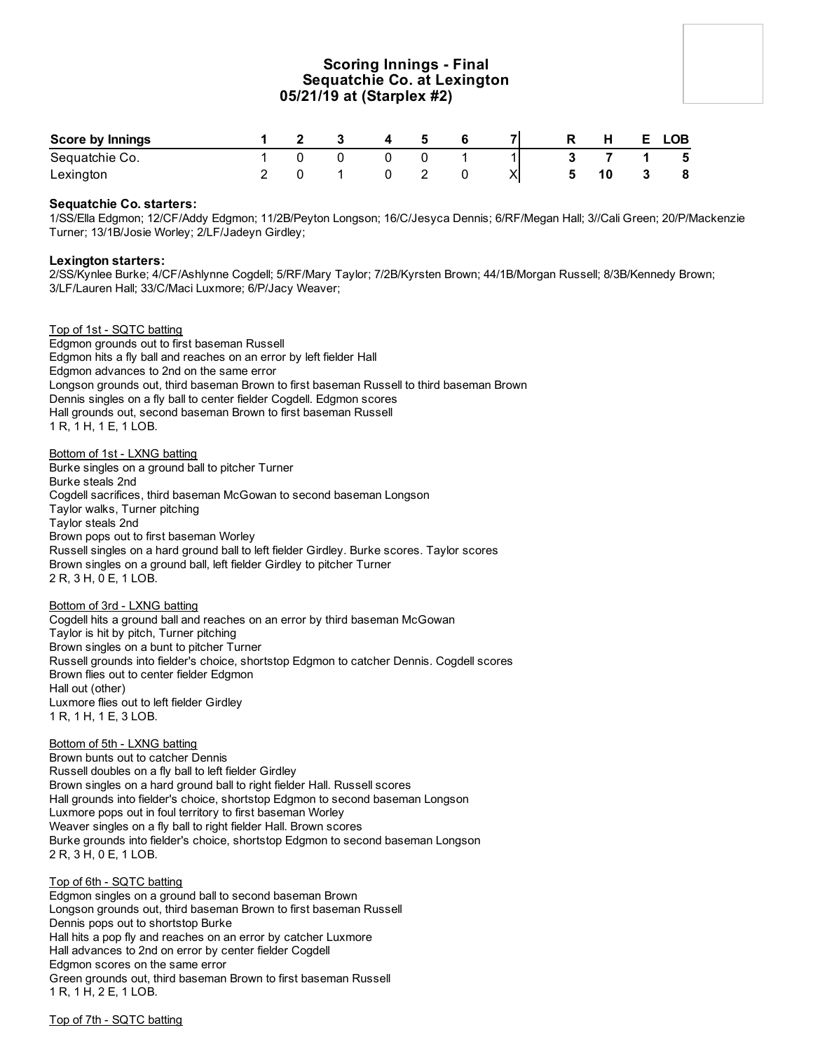# **Scoring Innings - Final Sequatchie Co. at Lexington 05/21/19 at (Starplex #2)**

| <b>Score by Innings</b> |  |  | Б. |  | Ð | Н. | E. | <b>LOB</b> |
|-------------------------|--|--|----|--|---|----|----|------------|
| Sequatchie Co.          |  |  |    |  |   |    |    | - 5        |
| Lexington               |  |  |    |  |   |    |    | 8          |

## **Sequatchie Co. starters:**

1/SS/Ella Edgmon; 12/CF/Addy Edgmon; 11/2B/Peyton Longson; 16/C/Jesyca Dennis; 6/RF/Megan Hall; 3//Cali Green; 20/P/Mackenzie Turner; 13/1B/Josie Worley; 2/LF/Jadeyn Girdley;

## **Lexington starters:**

2/SS/Kynlee Burke; 4/CF/Ashlynne Cogdell; 5/RF/Mary Taylor; 7/2B/Kyrsten Brown; 44/1B/Morgan Russell; 8/3B/Kennedy Brown; 3/LF/Lauren Hall; 33/C/Maci Luxmore; 6/P/Jacy Weaver;

Top of 1st - SQTC batting Edgmon grounds out to first baseman Russell Edgmon hits a fly ball and reaches on an error by left fielder Hall Edgmon advances to 2nd on the same error Longson grounds out, third baseman Brown to first baseman Russell to third baseman Brown Dennis singles on a fly ball to center fielder Cogdell. Edgmon scores Hall grounds out, second baseman Brown to first baseman Russell 1 R, 1 H, 1 E, 1 LOB.

Bottom of 1st - LXNG batting Burke singles on a ground ball to pitcher Turner Burke steals 2nd Cogdell sacrifices, third baseman McGowan to second baseman Longson Taylor walks, Turner pitching Taylor steals 2nd Brown pops out to first baseman Worley Russell singles on a hard ground ball to left fielder Girdley. Burke scores. Taylor scores Brown singles on a ground ball, left fielder Girdley to pitcher Turner 2 R, 3 H, 0 E, 1 LOB.

Bottom of 3rd - LXNG batting

Cogdell hits a ground ball and reaches on an error by third baseman McGowan Taylor is hit by pitch, Turner pitching Brown singles on a bunt to pitcher Turner Russell grounds into fielder's choice, shortstop Edgmon to catcher Dennis. Cogdell scores Brown flies out to center fielder Edgmon Hall out (other) Luxmore flies out to left fielder Girdley 1 R, 1 H, 1 E, 3 LOB.

## Bottom of 5th - LXNG batting

Brown bunts out to catcher Dennis Russell doubles on a fly ball to left fielder Girdley Brown singles on a hard ground ball to right fielder Hall. Russell scores Hall grounds into fielder's choice, shortstop Edgmon to second baseman Longson Luxmore pops out in foul territory to first baseman Worley Weaver singles on a fly ball to right fielder Hall. Brown scores Burke grounds into fielder's choice, shortstop Edgmon to second baseman Longson 2 R, 3 H, 0 E, 1 LOB.

Top of 6th - SQTC batting Edgmon singles on a ground ball to second baseman Brown Longson grounds out, third baseman Brown to first baseman Russell Dennis pops out to shortstop Burke Hall hits a pop fly and reaches on an error by catcher Luxmore Hall advances to 2nd on error by center fielder Cogdell Edgmon scores on the same error Green grounds out, third baseman Brown to first baseman Russell 1 R, 1 H, 2 E, 1 LOB.

Top of 7th - SQTC batting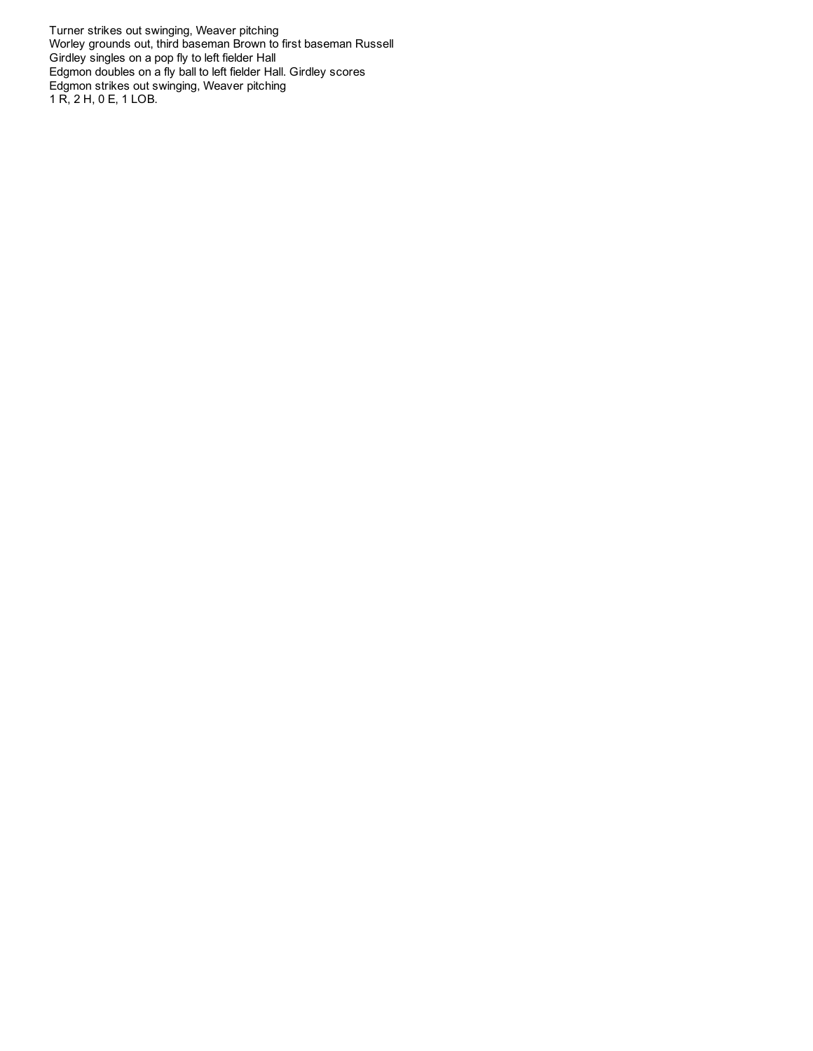Turner strikes out swinging, Weaver pitching Worley grounds out, third baseman Brown to first baseman Russell Girdley singles on a pop fly to left fielder Hall Edgmon doubles on a fly ball to left fielder Hall. Girdley scores Edgmon strikes out swinging, Weaver pitching 1 R, 2 H, 0 E, 1 LOB.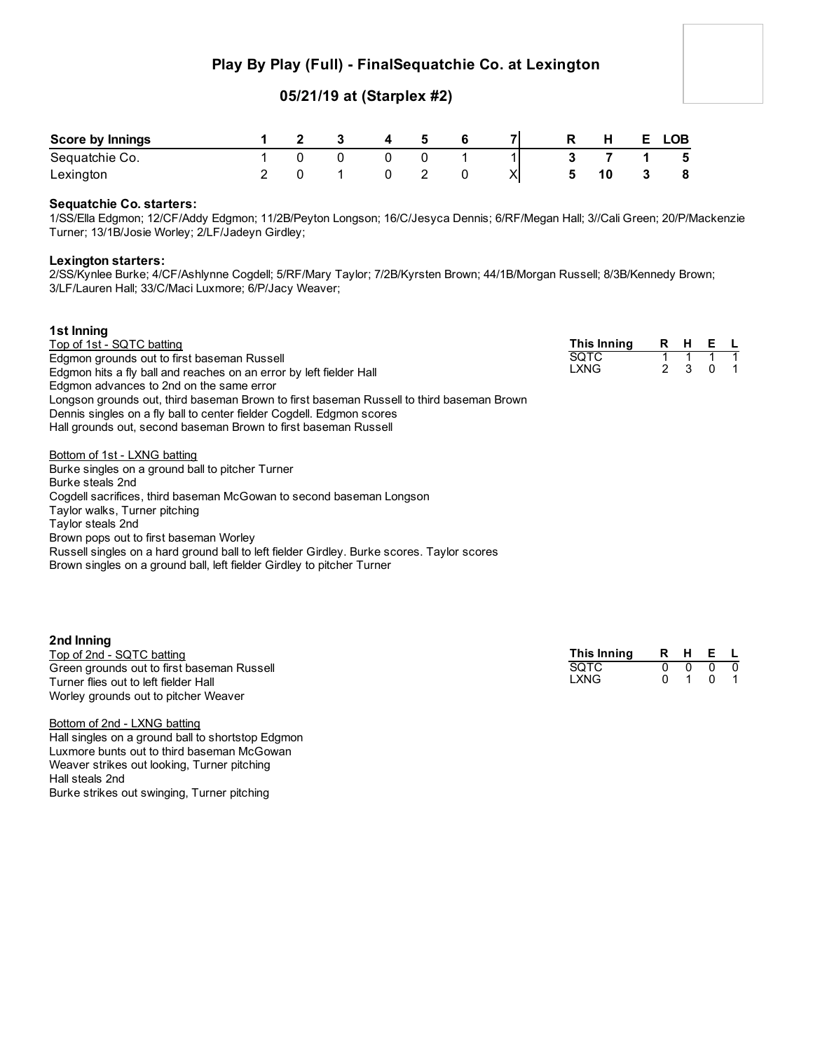# **Play By Play (Full) - FinalSequatchie Co. at Lexington**

# **05/21/19 at (Starplex #2)**

| <b>Score by Innings</b> |  |  | -5 |  | R | H | E. | <b>LOB</b> |
|-------------------------|--|--|----|--|---|---|----|------------|
| Sequatchie Co.          |  |  |    |  |   |   |    | - 5        |
| Lexington               |  |  |    |  | 5 |   |    | - 8        |

## **Sequatchie Co. starters:**

1/SS/Ella Edgmon; 12/CF/Addy Edgmon; 11/2B/Peyton Longson; 16/C/Jesyca Dennis; 6/RF/Megan Hall; 3//Cali Green; 20/P/Mackenzie Turner; 13/1B/Josie Worley; 2/LF/Jadeyn Girdley;

## **Lexington starters:**

2/SS/Kynlee Burke; 4/CF/Ashlynne Cogdell; 5/RF/Mary Taylor; 7/2B/Kyrsten Brown; 44/1B/Morgan Russell; 8/3B/Kennedy Brown; 3/LF/Lauren Hall; 33/C/Maci Luxmore; 6/P/Jacy Weaver;

#### **1st Inning** Top of 1st - SQTC batting Edgmon grounds out to first baseman Russell Edgmon hits a fly ball and reaches on an error by left fielder Hall Edgmon advances to 2nd on the same error Longson grounds out, third baseman Brown to first baseman Russell to third baseman Brown Dennis singles on a fly ball to center fielder Cogdell. Edgmon scores Hall grounds out, second baseman Brown to first baseman Russell **This Inning R H E L** SQTC **LXNG**

Bottom of 1st - LXNG batting Burke singles on a ground ball to pitcher Turner Burke steals 2nd Cogdell sacrifices, third baseman McGowan to second baseman Longson Taylor walks, Turner pitching Taylor steals 2nd Brown pops out to first baseman Worley Russell singles on a hard ground ball to left fielder Girdley. Burke scores. Taylor scores Brown singles on a ground ball, left fielder Girdley to pitcher Turner

| 2nd Inning |
|------------|
|            |

Top of 2nd - SQTC batting Green grounds out to first baseman Russell Turner flies out to left fielder Hall Worley grounds out to pitcher Weaver

**This Inning R H E L** SQTC 0 0 0 0 LXNG 0 1 0 1

Bottom of 2nd - LXNG batting Hall singles on a ground ball to shortstop Edgmon Luxmore bunts out to third baseman McGowan Weaver strikes out looking, Turner pitching Hall steals 2nd Burke strikes out swinging, Turner pitching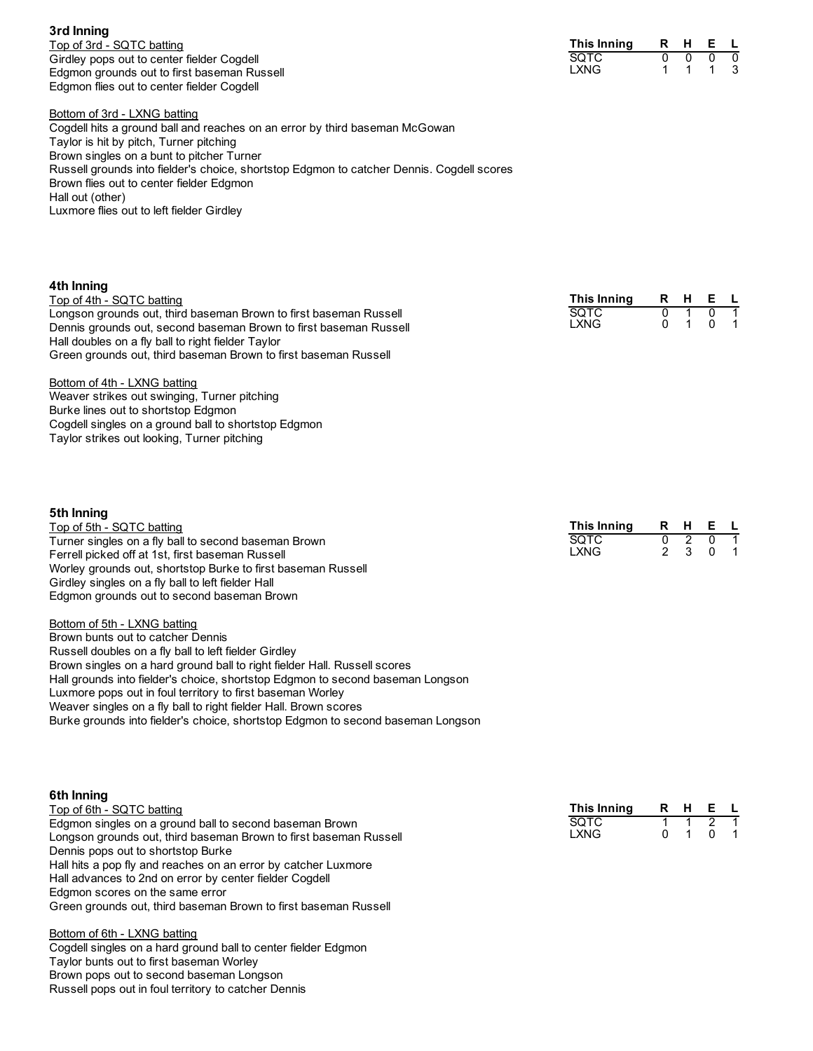**3rd Inning** Top of 3rd - SQTC batting Girdley pops out to center fielder Cogdell Edgmon grounds out to first baseman Russell Edgmon flies out to center fielder Cogdell

| R. | н | F |  |
|----|---|---|--|
|    |   |   |  |
|    |   |   |  |
|    |   |   |  |

Bottom of 3rd - LXNG batting

Cogdell hits a ground ball and reaches on an error by third baseman McGowan Taylor is hit by pitch, Turner pitching Brown singles on a bunt to pitcher Turner Russell grounds into fielder's choice, shortstop Edgmon to catcher Dennis. Cogdell scores Brown flies out to center fielder Edgmon Hall out (other) Luxmore flies out to left fielder Girdley

| 4th Inning<br>Top of 4th - SQTC batting<br>Longson grounds out, third baseman Brown to first baseman Russell<br>Dennis grounds out, second baseman Brown to first baseman Russell<br>Hall doubles on a fly ball to right fielder Taylor<br>Green grounds out, third baseman Brown to first baseman Russell<br>Bottom of 4th - LXNG batting<br>Weaver strikes out swinging, Turner pitching<br>Burke lines out to shortstop Edgmon<br>Cogdell singles on a ground ball to shortstop Edgmon<br>Taylor strikes out looking, Turner pitching | This Inning<br><b>SQTC</b><br><b>LXNG</b> | R<br>$\mathbf{0}$<br>0  | H.                       | Е<br>0<br>0 |  |
|------------------------------------------------------------------------------------------------------------------------------------------------------------------------------------------------------------------------------------------------------------------------------------------------------------------------------------------------------------------------------------------------------------------------------------------------------------------------------------------------------------------------------------------|-------------------------------------------|-------------------------|--------------------------|-------------|--|
| 5th Inning<br>Top of 5th - SQTC batting<br>Turner singles on a fly ball to second baseman Brown<br>Ferrell picked off at 1st, first baseman Russell<br>Worley grounds out, shortstop Burke to first baseman Russell<br>Girdley singles on a fly ball to left fielder Hall                                                                                                                                                                                                                                                                | This Inning<br><b>SOTC</b><br><b>LXNG</b> | R<br>0<br>$\mathcal{P}$ | H<br>$\overline{2}$<br>3 | Е<br>0<br>0 |  |

Bottom of 5th - LXNG batting Brown bunts out to catcher Dennis Russell doubles on a fly ball to left fielder Girdley Brown singles on a hard ground ball to right fielder Hall. Russell scores Hall grounds into fielder's choice, shortstop Edgmon to second baseman Longson Luxmore pops out in foul territory to first baseman Worley Weaver singles on a fly ball to right fielder Hall. Brown scores Burke grounds into fielder's choice, shortstop Edgmon to second baseman Longson

Edgmon grounds out to second baseman Brown

**6th Inning** Top of 6th - SQTC batting Edgmon singles on a ground ball to second baseman Brown Longson grounds out, third baseman Brown to first baseman Russell Dennis pops out to shortstop Burke Hall hits a pop fly and reaches on an error by catcher Luxmore Hall advances to 2nd on error by center fielder Cogdell Edgmon scores on the same error **This Inning R H E L**

Green grounds out, third baseman Brown to first baseman Russell

### Bottom of 6th - LXNG batting

Cogdell singles on a hard ground ball to center fielder Edgmon Taylor bunts out to first baseman Worley Brown pops out to second baseman Longson Russell pops out in foul territory to catcher Dennis

| This Innina |  |  |
|-------------|--|--|
| SOTC        |  |  |
| I XNG       |  |  |